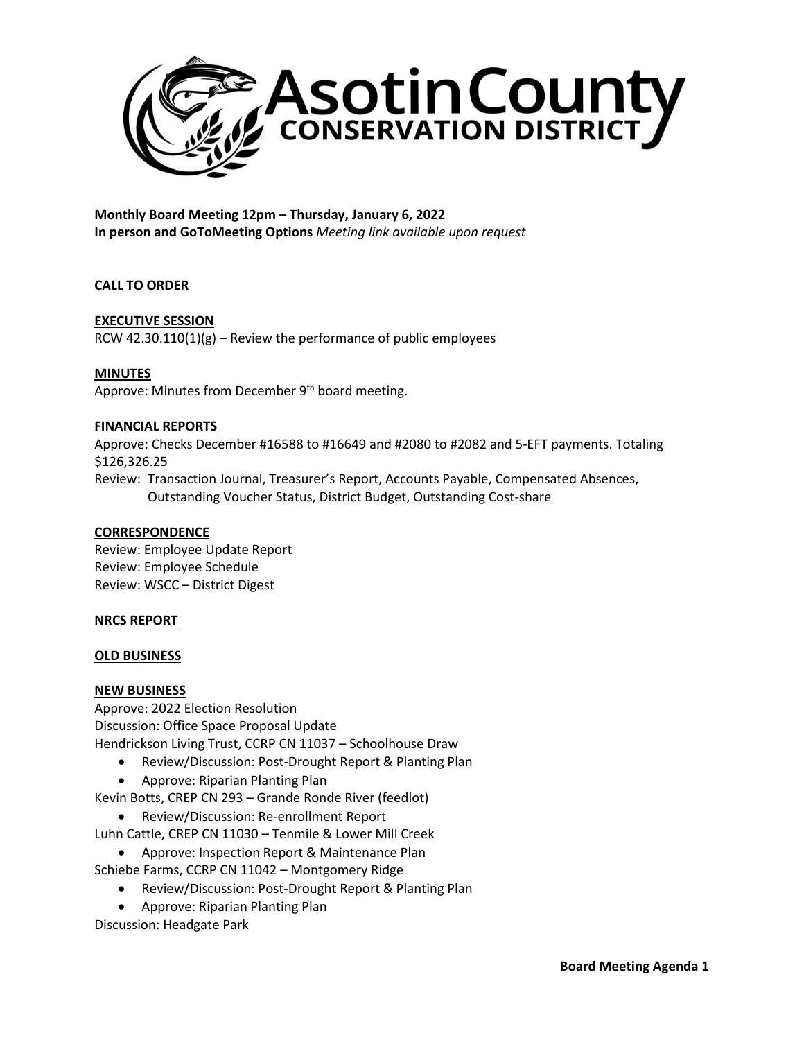

**Monthly Board Meeting 12pm – Thursday, January 6, 2022 In person and GoToMeeting Options** *Meeting link available upon request*

## **CALL TO ORDER**

# **EXECUTIVE SESSION**

RCW 42.30.110(1)(g) – Review the performance of public employees

#### **MINUTES**

Approve: Minutes from December 9<sup>th</sup> board meeting.

#### **FINANCIAL REPORTS**

Approve: Checks December #16588 to #16649 and #2080 to #2082 and 5-EFT payments. Totaling \$126,326.25 Review: Transaction Journal, Treasurer's Report, Accounts Payable, Compensated Absences, Outstanding Voucher Status, District Budget, Outstanding Cost-share

#### **CORRESPONDENCE**

Review: Employee Update Report Review: Employee Schedule Review: WSCC – District Digest

## **NRCS REPORT**

#### **OLD BUSINESS**

## **NEW BUSINESS**

Approve: 2022 Election Resolution Discussion: Office Space Proposal Update Hendrickson Living Trust, CCRP CN 11037 – Schoolhouse Draw

- Review/Discussion: Post-Drought Report & Planting Plan
- Approve: Riparian Planting Plan

Kevin Botts, CREP CN 293 – Grande Ronde River (feedlot)

• Review/Discussion: Re-enrollment Report

Luhn Cattle, CREP CN 11030 – Tenmile & Lower Mill Creek

- Approve: Inspection Report & Maintenance Plan
- Schiebe Farms, CCRP CN 11042 Montgomery Ridge
	- Review/Discussion: Post-Drought Report & Planting Plan
	- Approve: Riparian Planting Plan

Discussion: Headgate Park